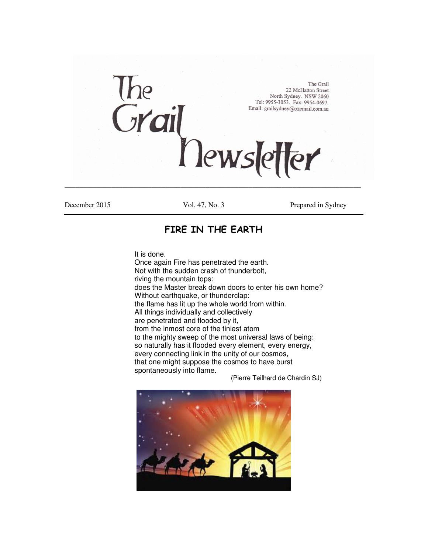

December 2015 Vol. 47, No. 3 Prepared in Sydney

## **FIRE IN THE EARTH**

It is done.

Once again Fire has penetrated the earth. Not with the sudden crash of thunderbolt, riving the mountain tops: does the Master break down doors to enter his own home? Without earthquake, or thunderclap: the flame has lit up the whole world from within. All things individually and collectively are penetrated and flooded by it, from the inmost core of the tiniest atom to the mighty sweep of the most universal laws of being: so naturally has it flooded every element, every energy, every connecting link in the unity of our cosmos, that one might suppose the cosmos to have burst spontaneously into flame.

(Pierre Teilhard de Chardin SJ)

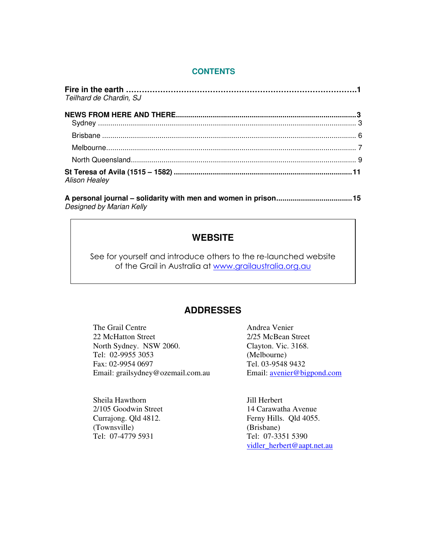#### **CONTENTS**

| Teilhard de Chardin, SJ |  |
|-------------------------|--|
|                         |  |
|                         |  |
|                         |  |
|                         |  |
|                         |  |
| <b>Alison Healey</b>    |  |

**A personal journal – solidarity with men and women in prison.....................................15**  Designed by Marian Kelly

## **WEBSITE**

See for yourself and introduce others to the re-launched website of the Grail in Australia at www.grailaustralia.org.au

## **ADDRESSES**

The Grail Centre **Andrea Venier** Andrea Venier 22 McHatton Street 2/25 McBean Street North Sydney. NSW 2060. Clayton. Vic. 3168. Tel: 02-9955 3053 (Melbourne) Fax: 02-9954 0697 <br>
Email: grailsydney@ozemail.com.au 
Email: <u>avenier@bigpond.com</u> Email: grailsydney@ozemail.com.au

Sheila Hawthorn Jill Herbert (Townsville) Tel: 07-4779 5931 Tel: 07-3351 5390

2/105 Goodwin Street 14 Carawatha Avenue Currajong. Qld 4812. Ferny Hills. Qld 4055.<br>
(Townsville) (Brisbane) vidler\_herbert@aapt.net.au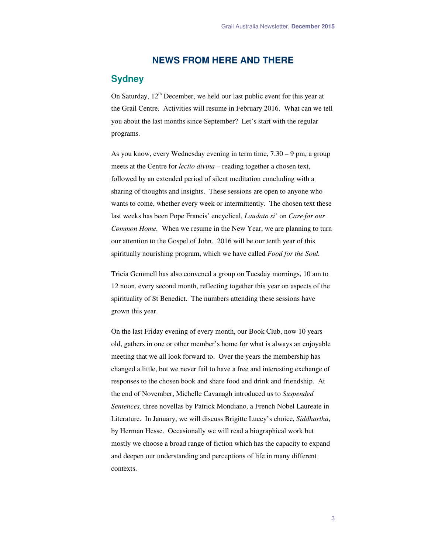### **NEWS FROM HERE AND THERE**

## **Sydney**

On Saturday,  $12<sup>th</sup>$  December, we held our last public event for this year at the Grail Centre. Activities will resume in February 2016. What can we tell you about the last months since September? Let's start with the regular programs.

As you know, every Wednesday evening in term time, 7.30 – 9 pm, a group meets at the Centre for *lectio divina –* reading together a chosen text, followed by an extended period of silent meditation concluding with a sharing of thoughts and insights. These sessions are open to anyone who wants to come, whether every week or intermittently. The chosen text these last weeks has been Pope Francis' encyclical, *Laudato si'* on *Care for our Common Home.* When we resume in the New Year, we are planning to turn our attention to the Gospel of John. 2016 will be our tenth year of this spiritually nourishing program, which we have called *Food for the Soul.*

Tricia Gemmell has also convened a group on Tuesday mornings, 10 am to 12 noon, every second month, reflecting together this year on aspects of the spirituality of St Benedict. The numbers attending these sessions have grown this year.

On the last Friday evening of every month, our Book Club, now 10 years old, gathers in one or other member's home for what is always an enjoyable meeting that we all look forward to. Over the years the membership has changed a little, but we never fail to have a free and interesting exchange of responses to the chosen book and share food and drink and friendship. At the end of November, Michelle Cavanagh introduced us to *Suspended Sentences,* three novellas by Patrick Mondiano, a French Nobel Laureate in Literature. In January, we will discuss Brigitte Lucey's choice, *Siddhartha*, by Herman Hesse. Occasionally we will read a biographical work but mostly we choose a broad range of fiction which has the capacity to expand and deepen our understanding and perceptions of life in many different contexts.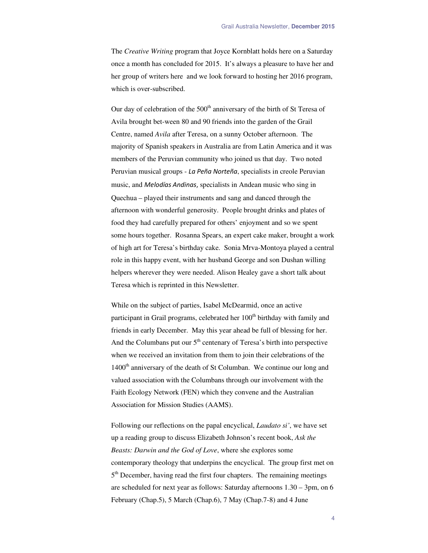The *Creative Writing* program that Joyce Kornblatt holds here on a Saturday once a month has concluded for 2015. It's always a pleasure to have her and her group of writers here and we look forward to hosting her 2016 program, which is over-subscribed.

Our day of celebration of the  $500<sup>th</sup>$  anniversary of the birth of St Teresa of Avila brought bet-ween 80 and 90 friends into the garden of the Grail Centre, named *Avila* after Teresa, on a sunny October afternoon. The majority of Spanish speakers in Australia are from Latin America and it was members of the Peruvian community who joined us that day. Two noted Peruvian musical groups - *La Peña Norteña*, specialists in creole Peruvian music, and *Melodías Andinas*, specialists in Andean music who sing in Quechua – played their instruments and sang and danced through the afternoon with wonderful generosity. People brought drinks and plates of food they had carefully prepared for others' enjoyment and so we spent some hours together. Rosanna Spears, an expert cake maker, brought a work of high art for Teresa's birthday cake. Sonia Mrva-Montoya played a central role in this happy event, with her husband George and son Dushan willing helpers wherever they were needed. Alison Healey gave a short talk about Teresa which is reprinted in this Newsletter.

While on the subject of parties, Isabel McDearmid, once an active participant in Grail programs, celebrated her  $100<sup>th</sup>$  birthday with family and friends in early December. May this year ahead be full of blessing for her. And the Columbans put our  $5<sup>th</sup>$  centenary of Teresa's birth into perspective when we received an invitation from them to join their celebrations of the  $1400<sup>th</sup>$  anniversary of the death of St Columban. We continue our long and valued association with the Columbans through our involvement with the Faith Ecology Network (FEN) which they convene and the Australian Association for Mission Studies (AAMS).

Following our reflections on the papal encyclical, *Laudato si'*, we have set up a reading group to discuss Elizabeth Johnson's recent book, *Ask the Beasts: Darwin and the God of Love*, where she explores some contemporary theology that underpins the encyclical. The group first met on 5<sup>th</sup> December, having read the first four chapters. The remaining meetings are scheduled for next year as follows: Saturday afternoons 1.30 – 3pm, on 6 February (Chap.5), 5 March (Chap.6), 7 May (Chap.7-8) and 4 June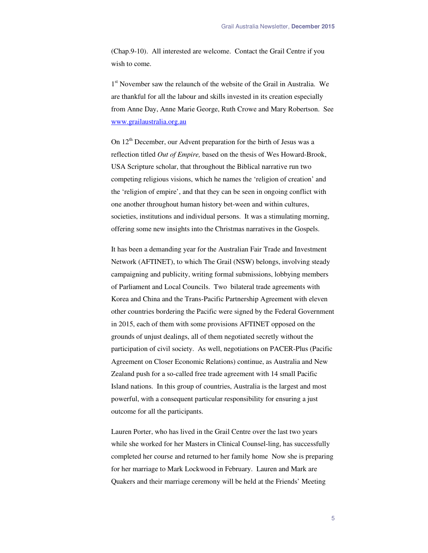(Chap.9-10). All interested are welcome. Contact the Grail Centre if you wish to come.

1<sup>st</sup> November saw the relaunch of the website of the Grail in Australia. We are thankful for all the labour and skills invested in its creation especially from Anne Day, Anne Marie George, Ruth Crowe and Mary Robertson. See www.grailaustralia.org.au

On  $12<sup>th</sup>$  December, our Advent preparation for the birth of Jesus was a reflection titled *Out of Empire,* based on the thesis of Wes Howard-Brook, USA Scripture scholar, that throughout the Biblical narrative run two competing religious visions, which he names the 'religion of creation' and the 'religion of empire', and that they can be seen in ongoing conflict with one another throughout human history bet-ween and within cultures, societies, institutions and individual persons. It was a stimulating morning, offering some new insights into the Christmas narratives in the Gospels.

It has been a demanding year for the Australian Fair Trade and Investment Network (AFTINET), to which The Grail (NSW) belongs, involving steady campaigning and publicity, writing formal submissions, lobbying members of Parliament and Local Councils. Two bilateral trade agreements with Korea and China and the Trans-Pacific Partnership Agreement with eleven other countries bordering the Pacific were signed by the Federal Government in 2015, each of them with some provisions AFTINET opposed on the grounds of unjust dealings, all of them negotiated secretly without the participation of civil society. As well, negotiations on PACER-Plus (Pacific Agreement on Closer Economic Relations) continue, as Australia and New Zealand push for a so-called free trade agreement with 14 small Pacific Island nations. In this group of countries, Australia is the largest and most powerful, with a consequent particular responsibility for ensuring a just outcome for all the participants.

Lauren Porter, who has lived in the Grail Centre over the last two years while she worked for her Masters in Clinical Counsel-ling, has successfully completed her course and returned to her family home Now she is preparing for her marriage to Mark Lockwood in February. Lauren and Mark are Quakers and their marriage ceremony will be held at the Friends' Meeting

5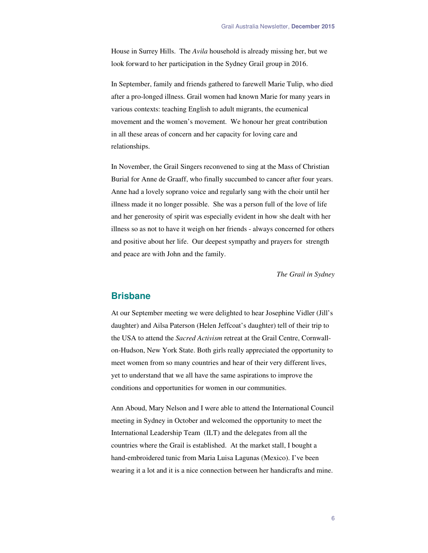House in Surrey Hills. The *Avila* household is already missing her, but we look forward to her participation in the Sydney Grail group in 2016.

In September, family and friends gathered to farewell Marie Tulip, who died after a pro-longed illness. Grail women had known Marie for many years in various contexts: teaching English to adult migrants, the ecumenical movement and the women's movement. We honour her great contribution in all these areas of concern and her capacity for loving care and relationships.

In November, the Grail Singers reconvened to sing at the Mass of Christian Burial for Anne de Graaff, who finally succumbed to cancer after four years. Anne had a lovely soprano voice and regularly sang with the choir until her illness made it no longer possible. She was a person full of the love of life and her generosity of spirit was especially evident in how she dealt with her illness so as not to have it weigh on her friends - always concerned for others and positive about her life. Our deepest sympathy and prayers for strength and peace are with John and the family.

*The Grail in Sydney* 

#### **Brisbane**

At our September meeting we were delighted to hear Josephine Vidler (Jill's daughter) and Ailsa Paterson (Helen Jeffcoat's daughter) tell of their trip to the USA to attend the *Sacred Activism* retreat at the Grail Centre, Cornwallon-Hudson, New York State. Both girls really appreciated the opportunity to meet women from so many countries and hear of their very different lives, yet to understand that we all have the same aspirations to improve the conditions and opportunities for women in our communities.

Ann Aboud, Mary Nelson and I were able to attend the International Council meeting in Sydney in October and welcomed the opportunity to meet the International Leadership Team (ILT) and the delegates from all the countries where the Grail is established. At the market stall, I bought a hand-embroidered tunic from Maria Luisa Lagunas (Mexico). I've been wearing it a lot and it is a nice connection between her handicrafts and mine.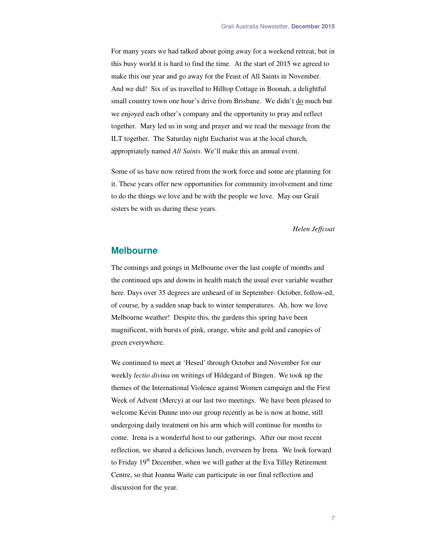For many years we had talked about going away for a weekend retreat, but in this busy world it is hard to find the time. At the start of 2015 we agreed to make this our year and go away for the Feast of All Saints in November. And we did! Six of us travelled to Hilltop Cottage in Boonah, a delightful small country town one hour's drive from Brisbane. We didn't do much but we enjoyed each other's company and the opportunity to pray and reflect together. Mary led us in song and prayer and we read the message from the ILT together. The Saturday night Eucharist was at the local church, appropriately named *All Saints*. We'll make this an annual event.

Some of us have now retired from the work force and some are planning for it. These years offer new opportunities for community involvement and time to do the things we love and be with the people we love. May our Grail sisters be with us during these years.

*Helen Jeffcoat* 

#### **Melbourne**

The comings and goings in Melbourne over the last couple of months and the continued ups and downs in health match the usual ever variable weather here. Days over 35 degrees are unheard of in September- October, follow-ed, of course, by a sudden snap back to winter temperatures. Ah, how we love Melbourne weather! Despite this, the gardens this spring have been magnificent, with bursts of pink, orange, white and gold and canopies of green everywhere.

We continued to meet at 'Hesed' through October and November for our weekly *lectio divina* on writings of Hildegard of Bingen. We took up the themes of the International Violence against Women campaign and the First Week of Advent (Mercy) at our last two meetings. We have been pleased to welcome Kevin Dunne into our group recently as he is now at home, still undergoing daily treatment on his arm which will continue for months to come. Irena is a wonderful host to our gatherings. After our most recent reflection, we shared a delicious lunch, overseen by Irena. We look forward to Friday  $19<sup>th</sup>$  December, when we will gather at the Eva Tilley Retirement Centre, so that Joanna Waite can participate in our final reflection and discussion for the year.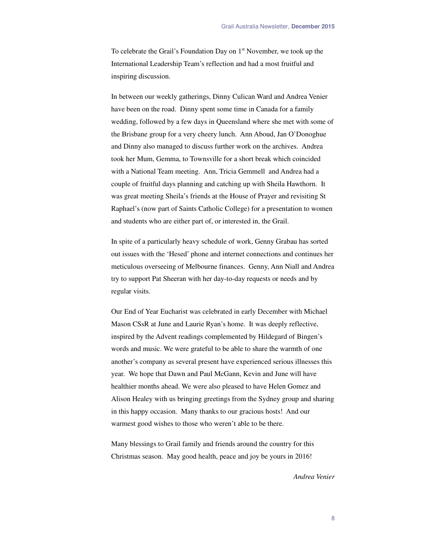To celebrate the Grail's Foundation Day on  $1<sup>st</sup>$  November, we took up the International Leadership Team's reflection and had a most fruitful and inspiring discussion.

In between our weekly gatherings, Dinny Culican Ward and Andrea Venier have been on the road. Dinny spent some time in Canada for a family wedding, followed by a few days in Queensland where she met with some of the Brisbane group for a very cheery lunch. Ann Aboud, Jan O'Donoghue and Dinny also managed to discuss further work on the archives. Andrea took her Mum, Gemma, to Townsville for a short break which coincided with a National Team meeting. Ann, Tricia Gemmell and Andrea had a couple of fruitful days planning and catching up with Sheila Hawthorn. It was great meeting Sheila's friends at the House of Prayer and revisiting St Raphael's (now part of Saints Catholic College) for a presentation to women and students who are either part of, or interested in, the Grail.

In spite of a particularly heavy schedule of work, Genny Grabau has sorted out issues with the 'Hesed' phone and internet connections and continues her meticulous overseeing of Melbourne finances. Genny, Ann Niall and Andrea try to support Pat Sheeran with her day-to-day requests or needs and by regular visits.

Our End of Year Eucharist was celebrated in early December with Michael Mason CSsR at June and Laurie Ryan's home. It was deeply reflective, inspired by the Advent readings complemented by Hildegard of Bingen's words and music. We were grateful to be able to share the warmth of one another's company as several present have experienced serious illnesses this year. We hope that Dawn and Paul McGann, Kevin and June will have healthier months ahead. We were also pleased to have Helen Gomez and Alison Healey with us bringing greetings from the Sydney group and sharing in this happy occasion. Many thanks to our gracious hosts! And our warmest good wishes to those who weren't able to be there.

Many blessings to Grail family and friends around the country for this Christmas season. May good health, peace and joy be yours in 2016!

*Andrea Venier*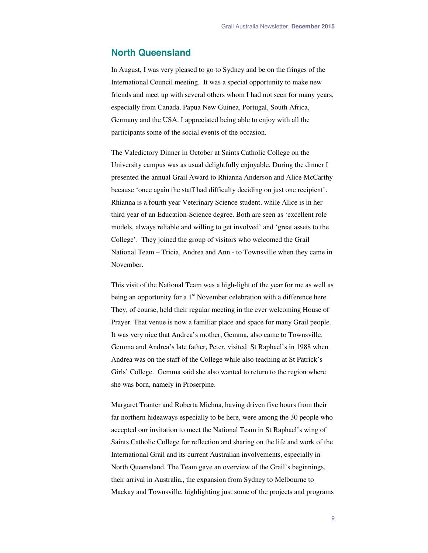#### **North Queensland**

In August, I was very pleased to go to Sydney and be on the fringes of the International Council meeting. It was a special opportunity to make new friends and meet up with several others whom I had not seen for many years, especially from Canada, Papua New Guinea, Portugal, South Africa, Germany and the USA. I appreciated being able to enjoy with all the participants some of the social events of the occasion.

The Valedictory Dinner in October at Saints Catholic College on the University campus was as usual delightfully enjoyable. During the dinner I presented the annual Grail Award to Rhianna Anderson and Alice McCarthy because 'once again the staff had difficulty deciding on just one recipient'. Rhianna is a fourth year Veterinary Science student, while Alice is in her third year of an Education-Science degree. Both are seen as 'excellent role models, always reliable and willing to get involved' and 'great assets to the College'. They joined the group of visitors who welcomed the Grail National Team – Tricia, Andrea and Ann - to Townsville when they came in November.

This visit of the National Team was a high-light of the year for me as well as being an opportunity for a  $1<sup>st</sup>$  November celebration with a difference here. They, of course, held their regular meeting in the ever welcoming House of Prayer. That venue is now a familiar place and space for many Grail people. It was very nice that Andrea's mother, Gemma, also came to Townsville. Gemma and Andrea's late father, Peter, visited St Raphael's in 1988 when Andrea was on the staff of the College while also teaching at St Patrick's Girls' College. Gemma said she also wanted to return to the region where she was born, namely in Proserpine.

Margaret Tranter and Roberta Michna, having driven five hours from their far northern hideaways especially to be here, were among the 30 people who accepted our invitation to meet the National Team in St Raphael's wing of Saints Catholic College for reflection and sharing on the life and work of the International Grail and its current Australian involvements, especially in North Queensland. The Team gave an overview of the Grail's beginnings, their arrival in Australia., the expansion from Sydney to Melbourne to Mackay and Townsville, highlighting just some of the projects and programs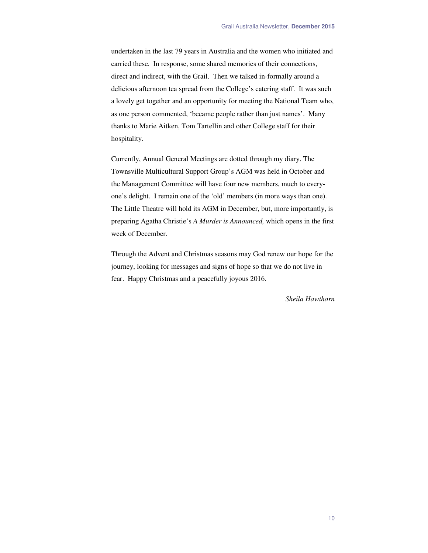undertaken in the last 79 years in Australia and the women who initiated and carried these. In response, some shared memories of their connections, direct and indirect, with the Grail. Then we talked in-formally around a delicious afternoon tea spread from the College's catering staff. It was such a lovely get together and an opportunity for meeting the National Team who, as one person commented, 'became people rather than just names'. Many thanks to Marie Aitken, Tom Tartellin and other College staff for their hospitality.

Currently, Annual General Meetings are dotted through my diary. The Townsville Multicultural Support Group's AGM was held in October and the Management Committee will have four new members, much to everyone's delight. I remain one of the 'old' members (in more ways than one). The Little Theatre will hold its AGM in December, but, more importantly, is preparing Agatha Christie's *A Murder is Announced,* which opens in the first week of December.

Through the Advent and Christmas seasons may God renew our hope for the journey, looking for messages and signs of hope so that we do not live in fear. Happy Christmas and a peacefully joyous 2016.

*Sheila Hawthorn*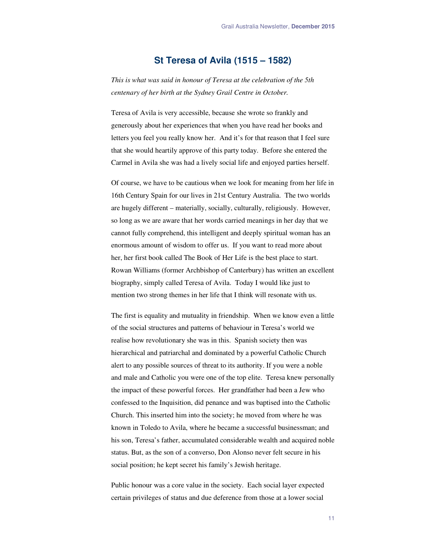### **St Teresa of Avila (1515 – 1582)**

*This is what was said in honour of Teresa at the celebration of the 5th centenary of her birth at the Sydney Grail Centre in October.* 

Teresa of Avila is very accessible, because she wrote so frankly and generously about her experiences that when you have read her books and letters you feel you really know her. And it's for that reason that I feel sure that she would heartily approve of this party today. Before she entered the Carmel in Avila she was had a lively social life and enjoyed parties herself.

Of course, we have to be cautious when we look for meaning from her life in 16th Century Spain for our lives in 21st Century Australia. The two worlds are hugely different – materially, socially, culturally, religiously. However, so long as we are aware that her words carried meanings in her day that we cannot fully comprehend, this intelligent and deeply spiritual woman has an enormous amount of wisdom to offer us. If you want to read more about her, her first book called The Book of Her Life is the best place to start. Rowan Williams (former Archbishop of Canterbury) has written an excellent biography, simply called Teresa of Avila. Today I would like just to mention two strong themes in her life that I think will resonate with us.

The first is equality and mutuality in friendship. When we know even a little of the social structures and patterns of behaviour in Teresa's world we realise how revolutionary she was in this. Spanish society then was hierarchical and patriarchal and dominated by a powerful Catholic Church alert to any possible sources of threat to its authority. If you were a noble and male and Catholic you were one of the top elite. Teresa knew personally the impact of these powerful forces. Her grandfather had been a Jew who confessed to the Inquisition, did penance and was baptised into the Catholic Church. This inserted him into the society; he moved from where he was known in Toledo to Avila, where he became a successful businessman; and his son, Teresa's father, accumulated considerable wealth and acquired noble status. But, as the son of a converso, Don Alonso never felt secure in his social position; he kept secret his family's Jewish heritage.

Public honour was a core value in the society. Each social layer expected certain privileges of status and due deference from those at a lower social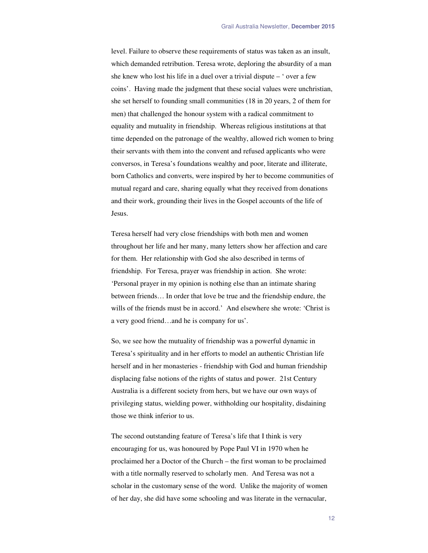level. Failure to observe these requirements of status was taken as an insult, which demanded retribution. Teresa wrote, deploring the absurdity of a man she knew who lost his life in a duel over a trivial dispute – ' over a few coins'. Having made the judgment that these social values were unchristian, she set herself to founding small communities (18 in 20 years, 2 of them for men) that challenged the honour system with a radical commitment to equality and mutuality in friendship. Whereas religious institutions at that time depended on the patronage of the wealthy, allowed rich women to bring their servants with them into the convent and refused applicants who were conversos, in Teresa's foundations wealthy and poor, literate and illiterate, born Catholics and converts, were inspired by her to become communities of mutual regard and care, sharing equally what they received from donations and their work, grounding their lives in the Gospel accounts of the life of Jesus.

Teresa herself had very close friendships with both men and women throughout her life and her many, many letters show her affection and care for them. Her relationship with God she also described in terms of friendship. For Teresa, prayer was friendship in action. She wrote: 'Personal prayer in my opinion is nothing else than an intimate sharing between friends… In order that love be true and the friendship endure, the wills of the friends must be in accord.' And elsewhere she wrote: 'Christ is a very good friend…and he is company for us'.

So, we see how the mutuality of friendship was a powerful dynamic in Teresa's spirituality and in her efforts to model an authentic Christian life herself and in her monasteries - friendship with God and human friendship displacing false notions of the rights of status and power. 21st Century Australia is a different society from hers, but we have our own ways of privileging status, wielding power, withholding our hospitality, disdaining those we think inferior to us.

The second outstanding feature of Teresa's life that I think is very encouraging for us, was honoured by Pope Paul VI in 1970 when he proclaimed her a Doctor of the Church – the first woman to be proclaimed with a title normally reserved to scholarly men. And Teresa was not a scholar in the customary sense of the word. Unlike the majority of women of her day, she did have some schooling and was literate in the vernacular,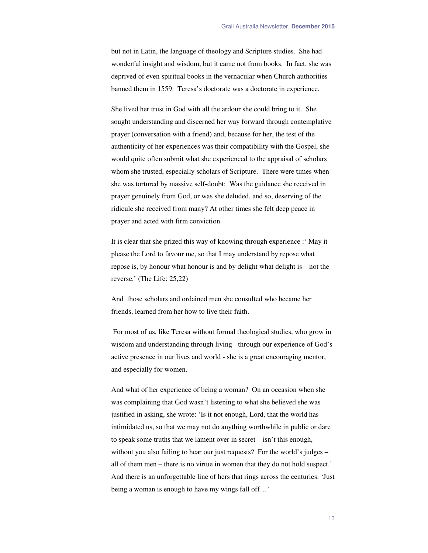but not in Latin, the language of theology and Scripture studies. She had wonderful insight and wisdom, but it came not from books. In fact, she was deprived of even spiritual books in the vernacular when Church authorities banned them in 1559. Teresa's doctorate was a doctorate in experience.

She lived her trust in God with all the ardour she could bring to it. She sought understanding and discerned her way forward through contemplative prayer (conversation with a friend) and, because for her, the test of the authenticity of her experiences was their compatibility with the Gospel, she would quite often submit what she experienced to the appraisal of scholars whom she trusted, especially scholars of Scripture. There were times when she was tortured by massive self-doubt: Was the guidance she received in prayer genuinely from God, or was she deluded, and so, deserving of the ridicule she received from many? At other times she felt deep peace in prayer and acted with firm conviction.

It is clear that she prized this way of knowing through experience :' May it please the Lord to favour me, so that I may understand by repose what repose is, by honour what honour is and by delight what delight is – not the reverse.' (The Life: 25,22)

And those scholars and ordained men she consulted who became her friends, learned from her how to live their faith.

 For most of us, like Teresa without formal theological studies, who grow in wisdom and understanding through living - through our experience of God's active presence in our lives and world - she is a great encouraging mentor, and especially for women.

And what of her experience of being a woman? On an occasion when she was complaining that God wasn't listening to what she believed she was justified in asking, she wrote: 'Is it not enough, Lord, that the world has intimidated us, so that we may not do anything worthwhile in public or dare to speak some truths that we lament over in secret – isn't this enough, without you also failing to hear our just requests? For the world's judges – all of them men – there is no virtue in women that they do not hold suspect.' And there is an unforgettable line of hers that rings across the centuries: 'Just being a woman is enough to have my wings fall off…'

13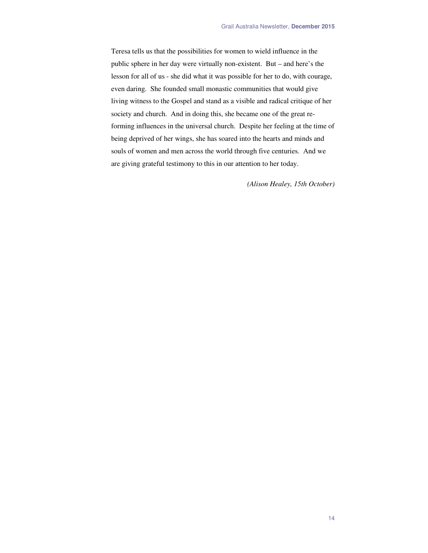Teresa tells us that the possibilities for women to wield influence in the public sphere in her day were virtually non-existent. But – and here's the lesson for all of us - she did what it was possible for her to do, with courage, even daring. She founded small monastic communities that would give living witness to the Gospel and stand as a visible and radical critique of her society and church. And in doing this, she became one of the great reforming influences in the universal church. Despite her feeling at the time of being deprived of her wings, she has soared into the hearts and minds and souls of women and men across the world through five centuries. And we are giving grateful testimony to this in our attention to her today.

*(Alison Healey, 15th October)*